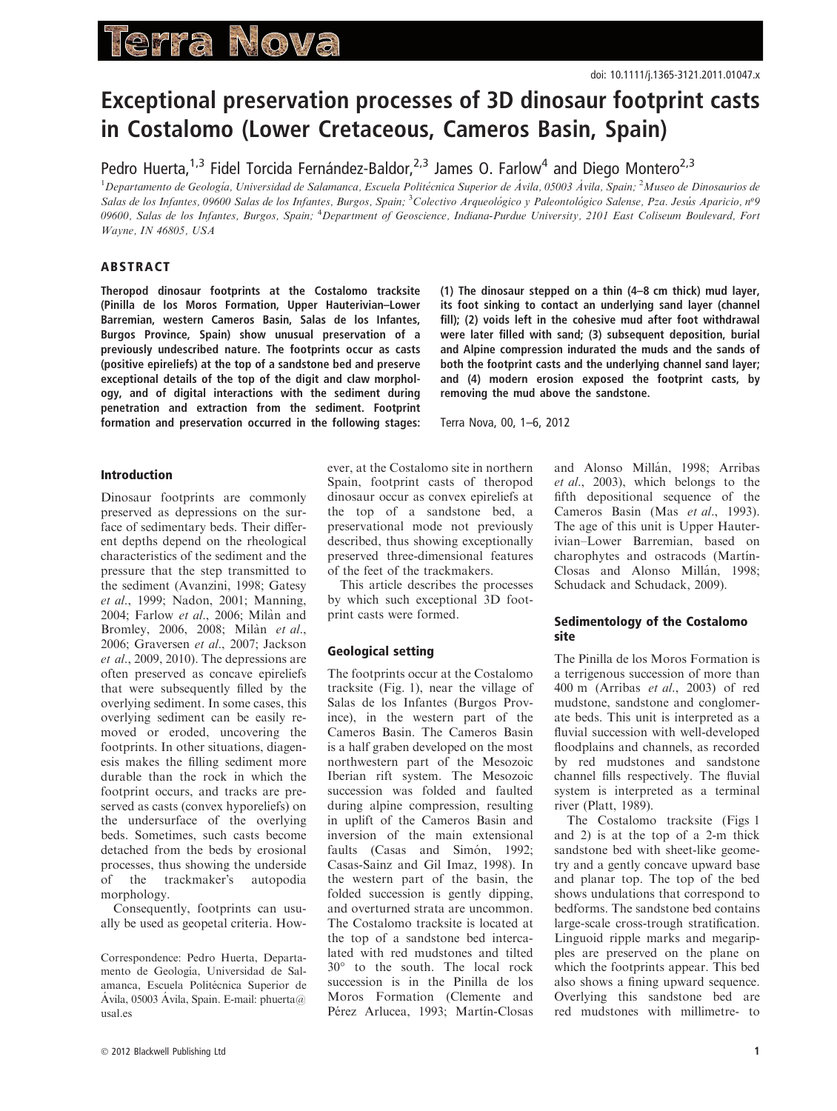# erra Nova

# Exceptional preservation processes of 3D dinosaur footprint casts in Costalomo (Lower Cretaceous, Cameros Basin, Spain)

Pedro Huerta,<sup>1,3</sup> Fidel Torcida Fernández-Baldor,<sup>2,3</sup> James O. Farlow<sup>4</sup> and Diego Montero<sup>2,3</sup>

<sup>1</sup> Departamento de Geología, Universidad de Salamanca, Escuela Politécnica Superior de Ávila, 05003 Ávila, Spain; <sup>2</sup> Museo de Dinosaurios de Salas de los Infantes, 09600 Salas de los Infantes, Burgos, Spain; <sup>3</sup>Colectivo Arqueológico y Paleontológico Salense, Pza. Jesús Aparicio, nº9 09600, Salas de los Infantes, Burgos, Spain; <sup>4</sup>Department of Geoscience, Indiana-Purdue University, 2101 East Coliseum Boulevard, Fort Wayne, IN 46805, USA

## ABSTRACT

Theropod dinosaur footprints at the Costalomo tracksite (Pinilla de los Moros Formation, Upper Hauterivian–Lower Barremian, western Cameros Basin, Salas de los Infantes, Burgos Province, Spain) show unusual preservation of a previously undescribed nature. The footprints occur as casts (positive epireliefs) at the top of a sandstone bed and preserve exceptional details of the top of the digit and claw morphology, and of digital interactions with the sediment during penetration and extraction from the sediment. Footprint formation and preservation occurred in the following stages:

### Introduction

Dinosaur footprints are commonly preserved as depressions on the surface of sedimentary beds. Their different depths depend on the rheological characteristics of the sediment and the pressure that the step transmitted to the sediment (Avanzini, 1998; Gatesy et al., 1999; Nadon, 2001; Manning, 2004; Farlow et al., 2006; Milàn and Bromley, 2006, 2008; Milàn et al., 2006; Graversen et al., 2007; Jackson et al., 2009, 2010). The depressions are often preserved as concave epireliefs that were subsequently filled by the overlying sediment. In some cases, this overlying sediment can be easily removed or eroded, uncovering the footprints. In other situations, diagenesis makes the filling sediment more durable than the rock in which the footprint occurs, and tracks are preserved as casts (convex hyporeliefs) on the undersurface of the overlying beds. Sometimes, such casts become detached from the beds by erosional processes, thus showing the underside of the trackmaker's autopodia morphology.

Consequently, footprints can usually be used as geopetal criteria. How-

Correspondence: Pedro Huerta, Departamento de Geología, Universidad de Salamanca, Escuela Politécnica Superior de Ávila, 05003 Ávila, Spain. E-mail: phuerta@ usal.es

ever, at the Costalomo site in northern Spain, footprint casts of theropod dinosaur occur as convex epireliefs at the top of a sandstone bed, a preservational mode not previously described, thus showing exceptionally preserved three-dimensional features of the feet of the trackmakers.

This article describes the processes by which such exceptional 3D footprint casts were formed.

#### Geological setting

The footprints occur at the Costalomo tracksite (Fig. 1), near the village of Salas de los Infantes (Burgos Province), in the western part of the Cameros Basin. The Cameros Basin is a half graben developed on the most northwestern part of the Mesozoic Iberian rift system. The Mesozoic succession was folded and faulted during alpine compression, resulting in uplift of the Cameros Basin and inversion of the main extensional faults (Casas and Simón, 1992; Casas-Sainz and Gil Imaz, 1998). In the western part of the basin, the folded succession is gently dipping, and overturned strata are uncommon. The Costalomo tracksite is located at the top of a sandstone bed intercalated with red mudstones and tilted 30° to the south. The local rock succession is in the Pinilla de los Moros Formation (Clemente and Pérez Arlucea, 1993; Martín-Closas

(1) The dinosaur stepped on a thin (4–8 cm thick) mud layer, its foot sinking to contact an underlying sand layer (channel fill); (2) voids left in the cohesive mud after foot withdrawal were later filled with sand; (3) subsequent deposition, burial and Alpine compression indurated the muds and the sands of both the footprint casts and the underlying channel sand layer; and (4) modern erosion exposed the footprint casts, by removing the mud above the sandstone.

Terra Nova, 00, 1–6, 2012

and Alonso Millán, 1998; Arribas et al., 2003), which belongs to the fifth depositional sequence of the Cameros Basin (Mas et al., 1993). The age of this unit is Upper Hauterivian–Lower Barremian, based on charophytes and ostracods (Martín-Closas and Alonso Millán, 1998; Schudack and Schudack, 2009).

#### Sedimentology of the Costalomo site

The Pinilla de los Moros Formation is a terrigenous succession of more than 400 m (Arribas et al., 2003) of red mudstone, sandstone and conglomerate beds. This unit is interpreted as a fluvial succession with well-developed floodplains and channels, as recorded by red mudstones and sandstone channel fills respectively. The fluvial system is interpreted as a terminal river (Platt, 1989).

The Costalomo tracksite (Figs 1 and 2) is at the top of a 2-m thick sandstone bed with sheet-like geometry and a gently concave upward base and planar top. The top of the bed shows undulations that correspond to bedforms. The sandstone bed contains large-scale cross-trough stratification. Linguoid ripple marks and megaripples are preserved on the plane on which the footprints appear. This bed also shows a fining upward sequence. Overlying this sandstone bed are red mudstones with millimetre- to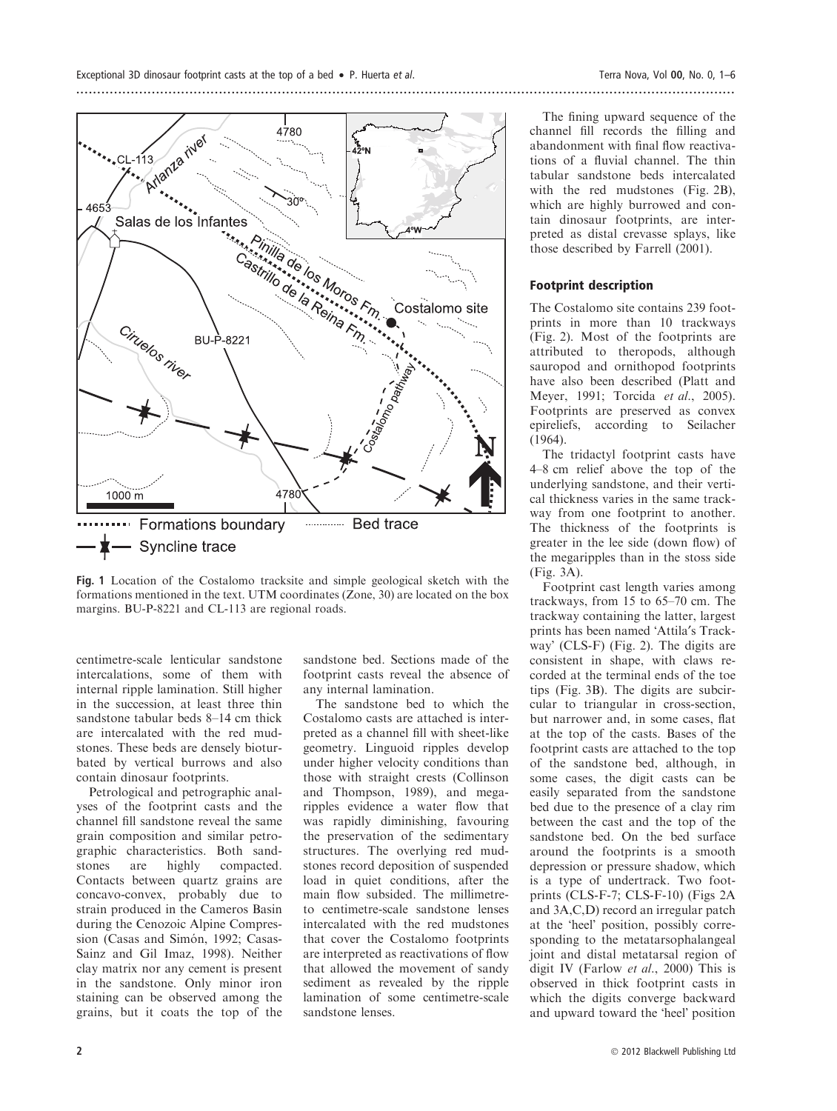

Fig. 1 Location of the Costalomo tracksite and simple geological sketch with the formations mentioned in the text. UTM coordinates (Zone, 30) are located on the box margins. BU-P-8221 and CL-113 are regional roads.

centimetre-scale lenticular sandstone intercalations, some of them with internal ripple lamination. Still higher in the succession, at least three thin sandstone tabular beds 8–14 cm thick are intercalated with the red mudstones. These beds are densely bioturbated by vertical burrows and also contain dinosaur footprints.

Petrological and petrographic analyses of the footprint casts and the channel fill sandstone reveal the same grain composition and similar petrographic characteristics. Both sandstones are highly compacted. Contacts between quartz grains are concavo-convex, probably due to strain produced in the Cameros Basin during the Cenozoic Alpine Compression (Casas and Simón, 1992; Casas-Sainz and Gil Imaz, 1998). Neither clay matrix nor any cement is present in the sandstone. Only minor iron staining can be observed among the grains, but it coats the top of the

sandstone bed. Sections made of the footprint casts reveal the absence of any internal lamination.

The sandstone bed to which the Costalomo casts are attached is interpreted as a channel fill with sheet-like geometry. Linguoid ripples develop under higher velocity conditions than those with straight crests (Collinson and Thompson, 1989), and megaripples evidence a water flow that was rapidly diminishing, favouring the preservation of the sedimentary structures. The overlying red mudstones record deposition of suspended load in quiet conditions, after the main flow subsided. The millimetreto centimetre-scale sandstone lenses intercalated with the red mudstones that cover the Costalomo footprints are interpreted as reactivations of flow that allowed the movement of sandy sediment as revealed by the ripple lamination of some centimetre-scale sandstone lenses.

The fining upward sequence of the channel fill records the filling and abandonment with final flow reactivations of a fluvial channel. The thin tabular sandstone beds intercalated with the red mudstones (Fig. 2B), which are highly burrowed and contain dinosaur footprints, are interpreted as distal crevasse splays, like those described by Farrell (2001).

#### Footprint description

The Costalomo site contains 239 footprints in more than 10 trackways (Fig. 2). Most of the footprints are attributed to theropods, although sauropod and ornithopod footprints have also been described (Platt and Meyer, 1991; Torcida et al., 2005). Footprints are preserved as convex epireliefs, according to Seilacher (1964).

The tridactyl footprint casts have 4–8 cm relief above the top of the underlying sandstone, and their vertical thickness varies in the same trackway from one footprint to another. The thickness of the footprints is greater in the lee side (down flow) of the megaripples than in the stoss side (Fig. 3A).

Footprint cast length varies among trackways, from 15 to 65–70 cm. The trackway containing the latter, largest prints has been named 'Attila's Trackway' (CLS-F) (Fig. 2). The digits are consistent in shape, with claws recorded at the terminal ends of the toe tips (Fig. 3B). The digits are subcircular to triangular in cross-section, but narrower and, in some cases, flat at the top of the casts. Bases of the footprint casts are attached to the top of the sandstone bed, although, in some cases, the digit casts can be easily separated from the sandstone bed due to the presence of a clay rim between the cast and the top of the sandstone bed. On the bed surface around the footprints is a smooth depression or pressure shadow, which is a type of undertrack. Two footprints (CLS-F-7; CLS-F-10) (Figs 2A and 3A,C,D) record an irregular patch at the 'heel' position, possibly corresponding to the metatarsophalangeal joint and distal metatarsal region of digit IV (Farlow et al., 2000) This is observed in thick footprint casts in which the digits converge backward and upward toward the 'heel' position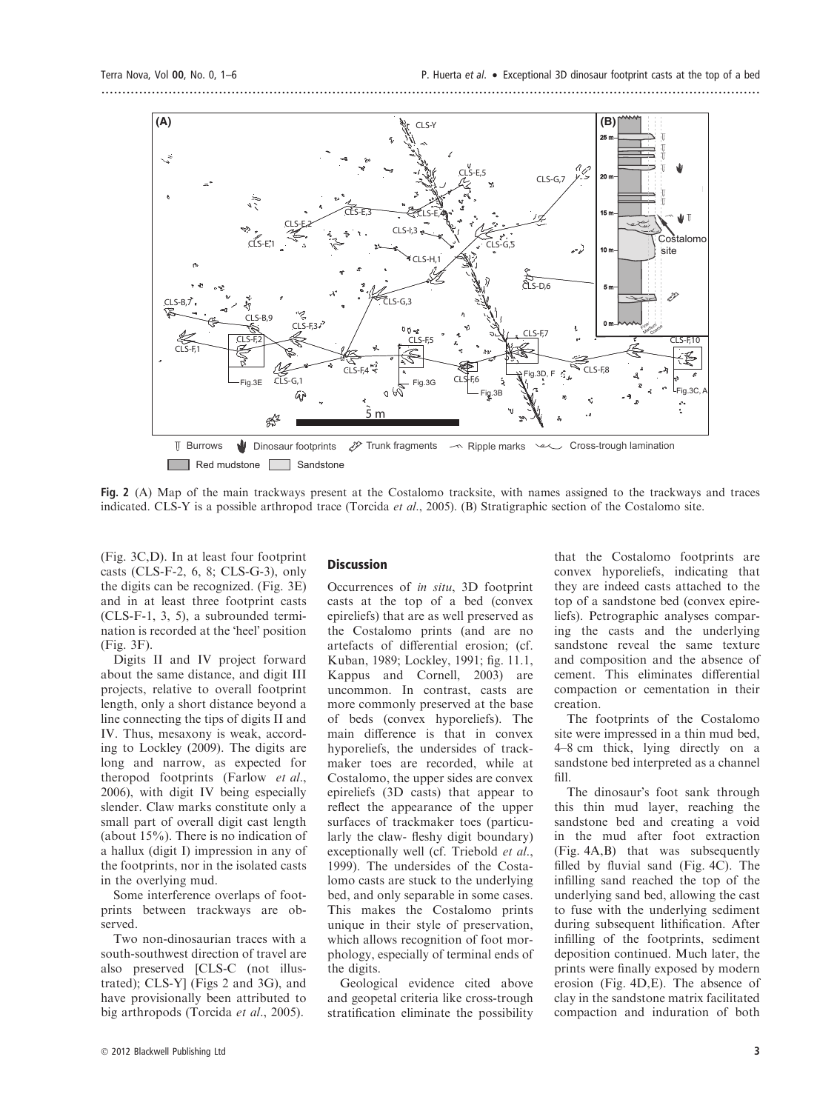

Fig. 2 (A) Map of the main trackways present at the Costalomo tracksite, with names assigned to the trackways and traces indicated. CLS-Y is a possible arthropod trace (Torcida et al., 2005). (B) Stratigraphic section of the Costalomo site.

(Fig. 3C,D). In at least four footprint casts (CLS-F-2, 6, 8; CLS-G-3), only the digits can be recognized. (Fig. 3E) and in at least three footprint casts (CLS-F-1, 3, 5), a subrounded termination is recorded at the 'heel' position (Fig. 3F).

Digits II and IV project forward about the same distance, and digit III projects, relative to overall footprint length, only a short distance beyond a line connecting the tips of digits II and IV. Thus, mesaxony is weak, according to Lockley (2009). The digits are long and narrow, as expected for theropod footprints (Farlow et al., 2006), with digit IV being especially slender. Claw marks constitute only a small part of overall digit cast length (about 15%). There is no indication of a hallux (digit I) impression in any of the footprints, nor in the isolated casts in the overlying mud.

Some interference overlaps of footprints between trackways are observed.

Two non-dinosaurian traces with a south-southwest direction of travel are also preserved [CLS-C (not illustrated); CLS-Y] (Figs 2 and 3G), and have provisionally been attributed to big arthropods (Torcida et al., 2005).

#### Discussion

Occurrences of in situ, 3D footprint casts at the top of a bed (convex epireliefs) that are as well preserved as the Costalomo prints (and are no artefacts of differential erosion; (cf. Kuban, 1989; Lockley, 1991; fig. 11.1, Kappus and Cornell, 2003) are uncommon. In contrast, casts are more commonly preserved at the base of beds (convex hyporeliefs). The main difference is that in convex hyporeliefs, the undersides of trackmaker toes are recorded, while at Costalomo, the upper sides are convex epireliefs (3D casts) that appear to reflect the appearance of the upper surfaces of trackmaker toes (particularly the claw- fleshy digit boundary) exceptionally well (cf. Triebold et al., 1999). The undersides of the Costalomo casts are stuck to the underlying bed, and only separable in some cases. This makes the Costalomo prints unique in their style of preservation, which allows recognition of foot morphology, especially of terminal ends of the digits.

Geological evidence cited above and geopetal criteria like cross-trough stratification eliminate the possibility

that the Costalomo footprints are convex hyporeliefs, indicating that they are indeed casts attached to the top of a sandstone bed (convex epireliefs). Petrographic analyses comparing the casts and the underlying sandstone reveal the same texture and composition and the absence of cement. This eliminates differential compaction or cementation in their creation.

The footprints of the Costalomo site were impressed in a thin mud bed, 4–8 cm thick, lying directly on a sandstone bed interpreted as a channel fill.

The dinosaur's foot sank through this thin mud layer, reaching the sandstone bed and creating a void in the mud after foot extraction (Fig. 4A,B) that was subsequently filled by fluvial sand (Fig. 4C). The infilling sand reached the top of the underlying sand bed, allowing the cast to fuse with the underlying sediment during subsequent lithification. After infilling of the footprints, sediment deposition continued. Much later, the prints were finally exposed by modern erosion (Fig. 4D,E). The absence of clay in the sandstone matrix facilitated compaction and induration of both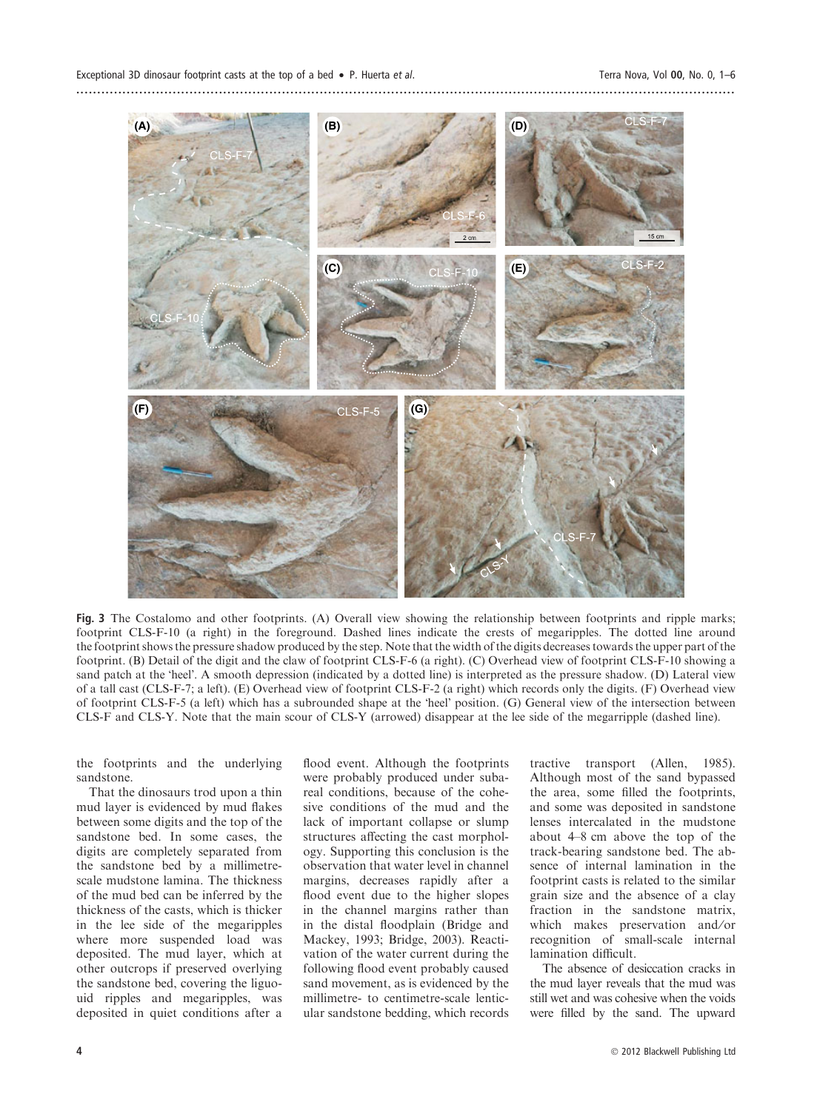

Fig. 3 The Costalomo and other footprints. (A) Overall view showing the relationship between footprints and ripple marks; footprint CLS-F-10 (a right) in the foreground. Dashed lines indicate the crests of megaripples. The dotted line around the footprint shows the pressure shadow produced by the step. Note that the width of the digits decreases towards the upper part of the footprint. (B) Detail of the digit and the claw of footprint CLS-F-6 (a right). (C) Overhead view of footprint CLS-F-10 showing a sand patch at the 'heel'. A smooth depression (indicated by a dotted line) is interpreted as the pressure shadow. (D) Lateral view of a tall cast (CLS-F-7; a left). (E) Overhead view of footprint CLS-F-2 (a right) which records only the digits. (F) Overhead view of footprint CLS-F-5 (a left) which has a subrounded shape at the 'heel' position. (G) General view of the intersection between CLS-F and CLS-Y. Note that the main scour of CLS-Y (arrowed) disappear at the lee side of the megarripple (dashed line).

the footprints and the underlying sandstone.

That the dinosaurs trod upon a thin mud layer is evidenced by mud flakes between some digits and the top of the sandstone bed. In some cases, the digits are completely separated from the sandstone bed by a millimetrescale mudstone lamina. The thickness of the mud bed can be inferred by the thickness of the casts, which is thicker in the lee side of the megaripples where more suspended load was deposited. The mud layer, which at other outcrops if preserved overlying the sandstone bed, covering the liguouid ripples and megaripples, was deposited in quiet conditions after a

flood event. Although the footprints were probably produced under subareal conditions, because of the cohesive conditions of the mud and the lack of important collapse or slump structures affecting the cast morphology. Supporting this conclusion is the observation that water level in channel margins, decreases rapidly after a flood event due to the higher slopes in the channel margins rather than in the distal floodplain (Bridge and Mackey, 1993; Bridge, 2003). Reactivation of the water current during the following flood event probably caused sand movement, as is evidenced by the millimetre- to centimetre-scale lenticular sandstone bedding, which records tractive transport (Allen, 1985). Although most of the sand bypassed the area, some filled the footprints, and some was deposited in sandstone lenses intercalated in the mudstone about 4–8 cm above the top of the track-bearing sandstone bed. The absence of internal lamination in the footprint casts is related to the similar grain size and the absence of a clay fraction in the sandstone matrix, which makes preservation and/or recognition of small-scale internal lamination difficult.

The absence of desiccation cracks in the mud layer reveals that the mud was still wet and was cohesive when the voids were filled by the sand. The upward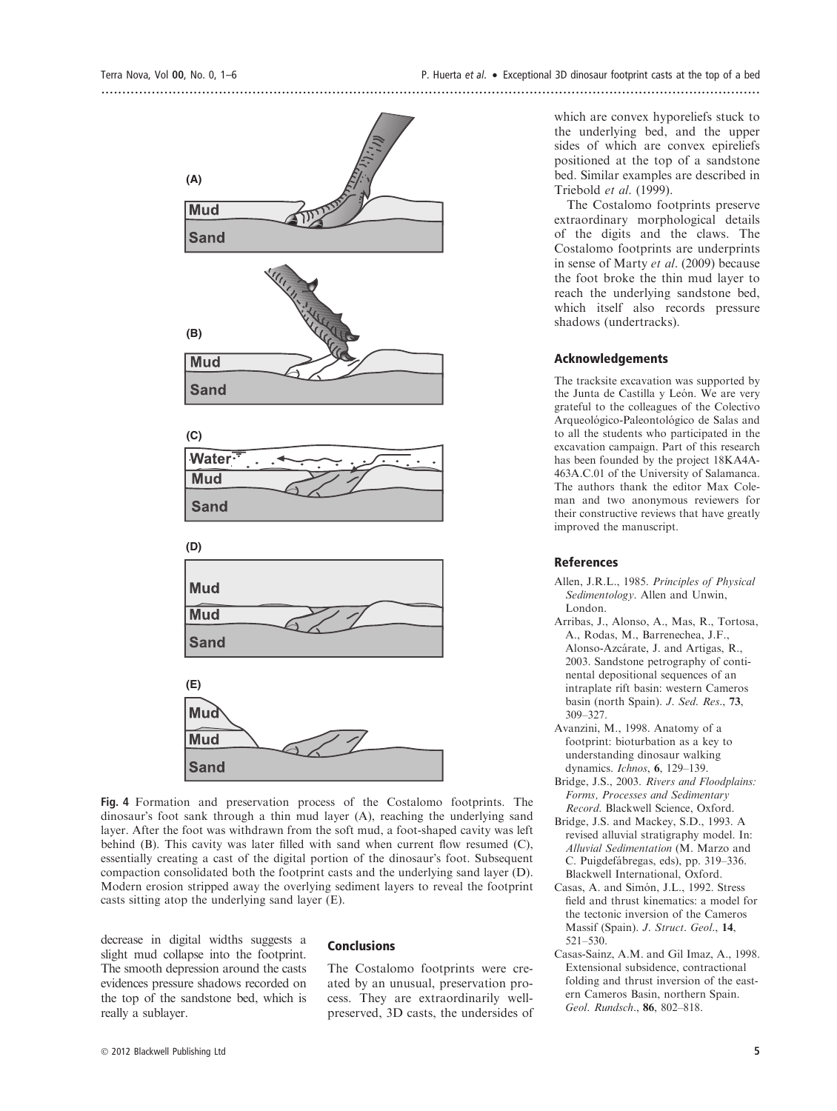

Fig. 4 Formation and preservation process of the Costalomo footprints. The dinosaur's foot sank through a thin mud layer (A), reaching the underlying sand layer. After the foot was withdrawn from the soft mud, a foot-shaped cavity was left behind (B). This cavity was later filled with sand when current flow resumed (C), essentially creating a cast of the digital portion of the dinosaur's foot. Subsequent compaction consolidated both the footprint casts and the underlying sand layer (D). Modern erosion stripped away the overlying sediment layers to reveal the footprint casts sitting atop the underlying sand layer (E).

decrease in digital widths suggests a slight mud collapse into the footprint. The smooth depression around the casts evidences pressure shadows recorded on the top of the sandstone bed, which is really a sublayer.

#### Conclusions

The Costalomo footprints were created by an unusual, preservation process. They are extraordinarily wellpreserved, 3D casts, the undersides of which are convex hyporeliefs stuck to the underlying bed, and the upper sides of which are convex epireliefs positioned at the top of a sandstone bed. Similar examples are described in Triebold et al. (1999).

The Costalomo footprints preserve extraordinary morphological details of the digits and the claws. The Costalomo footprints are underprints in sense of Marty et al. (2009) because the foot broke the thin mud layer to reach the underlying sandstone bed, which itself also records pressure shadows (undertracks).

#### Acknowledgements

The tracksite excavation was supported by the Junta de Castilla y León. We are very grateful to the colleagues of the Colectivo Arqueológico-Paleontológico de Salas and to all the students who participated in the excavation campaign. Part of this research has been founded by the project 18KA4A-463A.C.01 of the University of Salamanca. The authors thank the editor Max Coleman and two anonymous reviewers for their constructive reviews that have greatly improved the manuscript.

#### References

- Allen, J.R.L., 1985. Principles of Physical Sedimentology. Allen and Unwin, London.
- Arribas, J., Alonso, A., Mas, R., Tortosa, A., Rodas, M., Barrenechea, J.F., Alonso-Azcárate, J. and Artigas, R., 2003. Sandstone petrography of continental depositional sequences of an intraplate rift basin: western Cameros basin (north Spain). J. Sed. Res., 73, 309–327.
- Avanzini, M., 1998. Anatomy of a footprint: bioturbation as a key to understanding dinosaur walking dynamics. Ichnos, 6, 129–139.
- Bridge, J.S., 2003. Rivers and Floodplains: Forms, Processes and Sedimentary Record. Blackwell Science, Oxford.
- Bridge, J.S. and Mackey, S.D., 1993. A revised alluvial stratigraphy model. In: Alluvial Sedimentation (M. Marzo and C. Puigdefa´bregas, eds), pp. 319–336. Blackwell International, Oxford.
- Casas, A. and Simón, J.L., 1992. Stress field and thrust kinematics: a model for the tectonic inversion of the Cameros Massif (Spain). J. Struct. Geol., 14, 521–530.
- Casas-Sainz, A.M. and Gil Imaz, A., 1998. Extensional subsidence, contractional folding and thrust inversion of the eastern Cameros Basin, northern Spain. Geol. Rundsch., 86, 802–818.